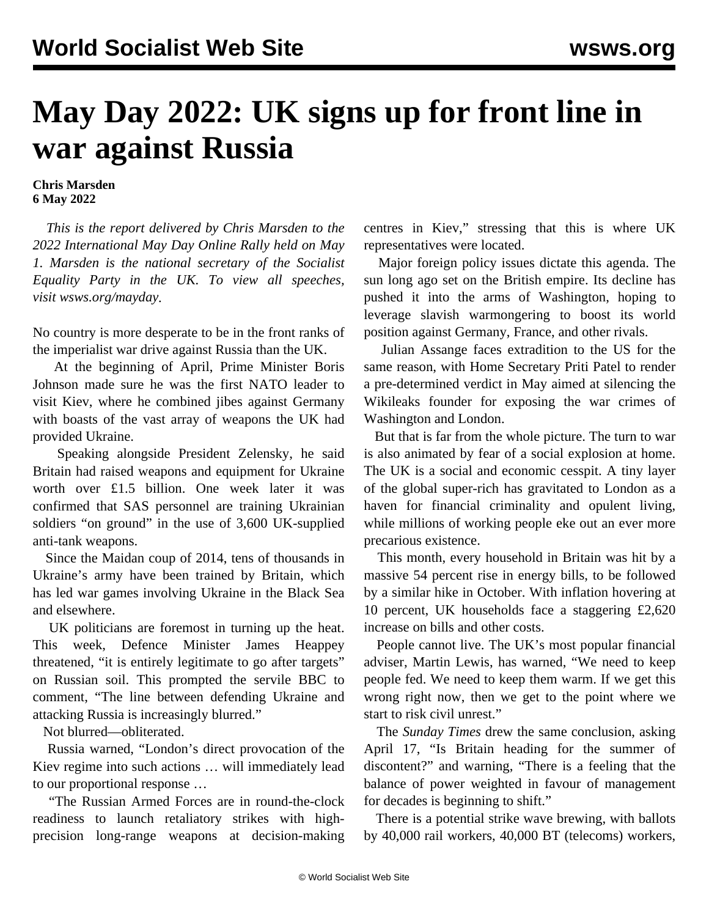## **May Day 2022: UK signs up for front line in war against Russia**

## **Chris Marsden 6 May 2022**

 *This is the report delivered by Chris Marsden to the 2022 International May Day Online Rally held on May 1. Marsden is the national secretary of the Socialist Equality Party in the UK. To view all speeches, visit [wsws.org/mayday](/mayday).*

No country is more desperate to be in the front ranks of the imperialist war drive against Russia than the UK.

 At the beginning of April, Prime Minister Boris Johnson made sure he was the first NATO leader to visit Kiev, where he combined jibes against Germany with boasts of the vast array of weapons the UK had provided Ukraine.

 Speaking alongside President Zelensky, he said Britain had raised weapons and equipment for Ukraine worth over £1.5 billion. One week later it was confirmed that SAS personnel are training Ukrainian soldiers "on ground" in the use of 3,600 UK-supplied anti-tank weapons.

 Since the Maidan coup of 2014, tens of thousands in Ukraine's army have been trained by Britain, which has led war games involving Ukraine in the Black Sea and elsewhere.

 UK politicians are foremost in turning up the heat. This week, Defence Minister James Heappey threatened, "it is entirely legitimate to go after targets" on Russian soil. This prompted the servile BBC to comment, "The line between defending Ukraine and attacking Russia is increasingly blurred."

Not blurred—obliterated.

 Russia warned, "London's direct provocation of the Kiev regime into such actions … will immediately lead to our proportional response …

 "The Russian Armed Forces are in round-the-clock readiness to launch retaliatory strikes with highprecision long-range weapons at decision-making centres in Kiev," stressing that this is where UK representatives were located.

 Major foreign policy issues dictate this agenda. The sun long ago set on the British empire. Its decline has pushed it into the arms of Washington, hoping to leverage slavish warmongering to boost its world position against Germany, France, and other rivals.

 Julian Assange faces extradition to the US for the same reason, with Home Secretary Priti Patel to render a pre-determined verdict in May aimed at silencing the Wikileaks founder for exposing the war crimes of Washington and London.

 But that is far from the whole picture. The turn to war is also animated by fear of a social explosion at home. The UK is a social and economic cesspit. A tiny layer of the global super-rich has gravitated to London as a haven for financial criminality and opulent living, while millions of working people eke out an ever more precarious existence.

 This month, every household in Britain was hit by a massive 54 percent rise in energy bills, to be followed by a similar hike in October. With inflation hovering at 10 percent, UK households face a staggering £2,620 increase on bills and other costs.

 People cannot live. The UK's most popular financial adviser, Martin Lewis, has warned, "We need to keep people fed. We need to keep them warm. If we get this wrong right now, then we get to the point where we start to risk civil unrest."

 The *Sunday Times* drew the same conclusion, asking April 17, "Is Britain heading for the summer of discontent?" and warning, "There is a feeling that the balance of power weighted in favour of management for decades is beginning to shift."

 There is a potential strike wave brewing, with ballots by 40,000 rail workers, 40,000 BT (telecoms) workers,